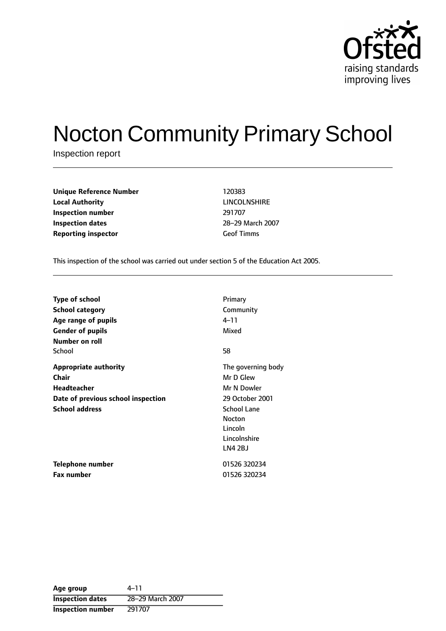

# Nocton Community Primary School

Inspection report

| <b>Unique Reference Number</b> | 120383            |
|--------------------------------|-------------------|
| <b>Local Authority</b>         | LINCOLNSHI        |
| Inspection number              | 291707            |
| Inspection dates               | 28-29 March       |
| <b>Reporting inspector</b>     | <b>Geof Timms</b> |

**LINCOLNSHIRE** 28-29 March 2007

This inspection of the school was carried out under section 5 of the Education Act 2005.

| <b>Type of school</b>              | Primary            |
|------------------------------------|--------------------|
| <b>School category</b>             | Community          |
| Age range of pupils                | 4–11               |
| <b>Gender of pupils</b>            | Mixed              |
| Number on roll                     |                    |
| School                             | 58                 |
| <b>Appropriate authority</b>       | The governing body |
| <b>Chair</b>                       | Mr D Glew          |
| <b>Headteacher</b>                 | Mr N Dowler        |
| Date of previous school inspection | 29 October 2001    |
| <b>School address</b>              | <b>School Lane</b> |
|                                    | <b>Nocton</b>      |
|                                    | Lincoln            |
|                                    | Lincolnshire       |
|                                    | LN4 2BJ            |
| Telephone number                   | 01526 320234       |
| <b>Fax number</b>                  | 01526 320234       |

Age group  $4-11$ **Inspection dates** 28-29 March 2007 **Inspection number** 291707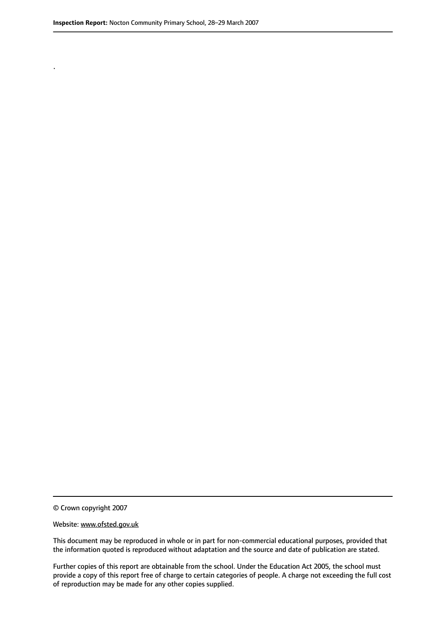.

© Crown copyright 2007

#### Website: www.ofsted.gov.uk

This document may be reproduced in whole or in part for non-commercial educational purposes, provided that the information quoted is reproduced without adaptation and the source and date of publication are stated.

Further copies of this report are obtainable from the school. Under the Education Act 2005, the school must provide a copy of this report free of charge to certain categories of people. A charge not exceeding the full cost of reproduction may be made for any other copies supplied.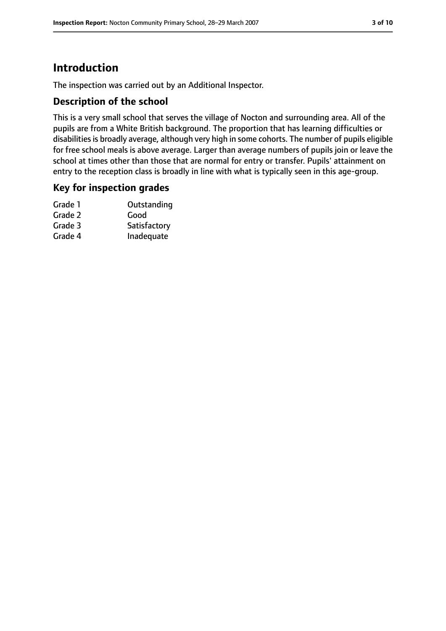# **Introduction**

The inspection was carried out by an Additional Inspector.

#### **Description of the school**

This is a very small school that serves the village of Nocton and surrounding area. All of the pupils are from a White British background. The proportion that has learning difficulties or disabilities is broadly average, although very high in some cohorts. The number of pupils eligible for free school meals is above average. Larger than average numbers of pupils join or leave the school at times other than those that are normal for entry or transfer. Pupils' attainment on entry to the reception class is broadly in line with what is typically seen in this age-group.

#### **Key for inspection grades**

| Grade 1 | Outstanding  |
|---------|--------------|
| Grade 2 | Good         |
| Grade 3 | Satisfactory |
| Grade 4 | Inadequate   |
|         |              |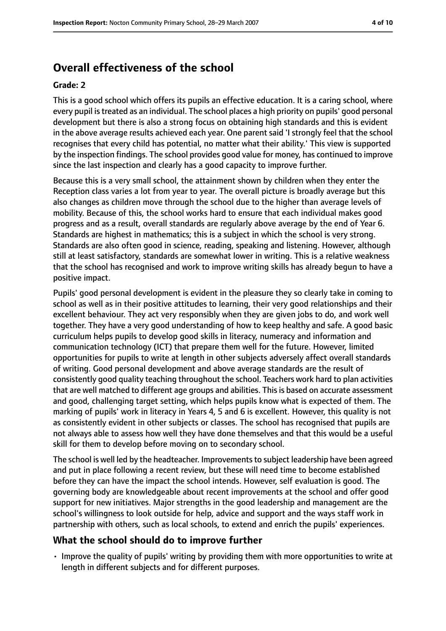# **Overall effectiveness of the school**

#### **Grade: 2**

This is a good school which offers its pupils an effective education. It is a caring school, where every pupil istreated as an individual. The school places a high priority on pupils' good personal development but there is also a strong focus on obtaining high standards and this is evident in the above average results achieved each year. One parent said 'I strongly feel that the school recognises that every child has potential, no matter what their ability.' This view is supported by the inspection findings. The school provides good value for money, has continued to improve since the last inspection and clearly has a good capacity to improve further.

Because this is a very small school, the attainment shown by children when they enter the Reception class varies a lot from year to year. The overall picture is broadly average but this also changes as children move through the school due to the higher than average levels of mobility. Because of this, the school works hard to ensure that each individual makes good progress and as a result, overall standards are regularly above average by the end of Year 6. Standards are highest in mathematics; this is a subject in which the school is very strong. Standards are also often good in science, reading, speaking and listening. However, although still at least satisfactory, standards are somewhat lower in writing. This is a relative weakness that the school has recognised and work to improve writing skills has already begun to have a positive impact.

Pupils' good personal development is evident in the pleasure they so clearly take in coming to school as well as in their positive attitudes to learning, their very good relationships and their excellent behaviour. They act very responsibly when they are given jobs to do, and work well together. They have a very good understanding of how to keep healthy and safe. A good basic curriculum helps pupils to develop good skills in literacy, numeracy and information and communication technology (ICT) that prepare them well for the future. However, limited opportunities for pupils to write at length in other subjects adversely affect overall standards of writing. Good personal development and above average standards are the result of consistently good quality teaching throughout the school. Teachers work hard to plan activities that are well matched to different age groups and abilities. This is based on accurate assessment and good, challenging target setting, which helps pupils know what is expected of them. The marking of pupils' work in literacy in Years 4, 5 and 6 is excellent. However, this quality is not as consistently evident in other subjects or classes. The school has recognised that pupils are not always able to assess how well they have done themselves and that this would be a useful skill for them to develop before moving on to secondary school.

The school is well led by the headteacher. Improvements to subject leadership have been agreed and put in place following a recent review, but these will need time to become established before they can have the impact the school intends. However, self evaluation is good. The governing body are knowledgeable about recent improvements at the school and offer good support for new initiatives. Major strengths in the good leadership and management are the school's willingness to look outside for help, advice and support and the ways staff work in partnership with others, such as local schools, to extend and enrich the pupils' experiences.

#### **What the school should do to improve further**

• Improve the quality of pupils' writing by providing them with more opportunities to write at length in different subjects and for different purposes.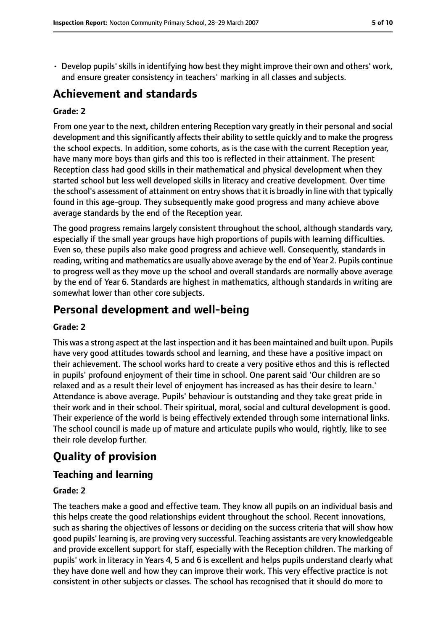• Develop pupils' skills in identifying how best they might improve their own and others' work, and ensure greater consistency in teachers' marking in all classes and subjects.

## **Achievement and standards**

#### **Grade: 2**

From one year to the next, children entering Reception vary greatly in their personal and social development and this significantly affects their ability to settle quickly and to make the progress the school expects. In addition, some cohorts, as is the case with the current Reception year, have many more boys than girls and this too is reflected in their attainment. The present Reception class had good skills in their mathematical and physical development when they started school but less well developed skills in literacy and creative development. Over time the school's assessment of attainment on entry showsthat it is broadly in line with that typically found in this age-group. They subsequently make good progress and many achieve above average standards by the end of the Reception year.

The good progress remains largely consistent throughout the school, although standards vary, especially if the small year groups have high proportions of pupils with learning difficulties. Even so, these pupils also make good progress and achieve well. Consequently, standards in reading, writing and mathematics are usually above average by the end of Year 2. Pupils continue to progress well as they move up the school and overall standards are normally above average by the end of Year 6. Standards are highest in mathematics, although standards in writing are somewhat lower than other core subjects.

## **Personal development and well-being**

#### **Grade: 2**

This was a strong aspect at the last inspection and it has been maintained and built upon. Pupils have very good attitudes towards school and learning, and these have a positive impact on their achievement. The school works hard to create a very positive ethos and this is reflected in pupils' profound enjoyment of their time in school. One parent said 'Our children are so relaxed and as a result their level of enjoyment has increased as has their desire to learn.' Attendance is above average. Pupils' behaviour is outstanding and they take great pride in their work and in their school. Their spiritual, moral, social and cultural development is good. Their experience of the world is being effectively extended through some international links. The school council is made up of mature and articulate pupils who would, rightly, like to see their role develop further.

## **Quality of provision**

## **Teaching and learning**

#### **Grade: 2**

The teachers make a good and effective team. They know all pupils on an individual basis and this helps create the good relationships evident throughout the school. Recent innovations, such as sharing the objectives of lessons or deciding on the success criteria that will show how good pupils' learning is, are proving very successful. Teaching assistants are very knowledgeable and provide excellent support for staff, especially with the Reception children. The marking of pupils' work in literacy in Years 4, 5 and 6 is excellent and helps pupils understand clearly what they have done well and how they can improve their work. This very effective practice is not consistent in other subjects or classes. The school has recognised that it should do more to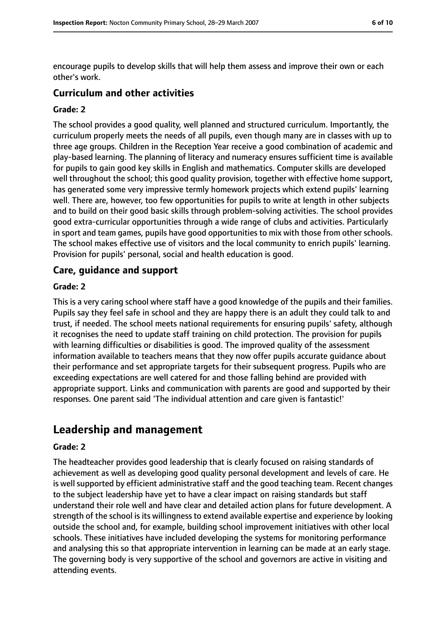encourage pupils to develop skills that will help them assess and improve their own or each other's work.

#### **Curriculum and other activities**

#### **Grade: 2**

The school provides a good quality, well planned and structured curriculum. Importantly, the curriculum properly meets the needs of all pupils, even though many are in classes with up to three age groups. Children in the Reception Year receive a good combination of academic and play-based learning. The planning of literacy and numeracy ensures sufficient time is available for pupils to gain good key skills in English and mathematics. Computer skills are developed well throughout the school; this good quality provision, together with effective home support, has generated some very impressive termly homework projects which extend pupils' learning well. There are, however, too few opportunities for pupils to write at length in other subjects and to build on their good basic skills through problem-solving activities. The school provides good extra-curricular opportunities through a wide range of clubs and activities. Particularly in sport and team games, pupils have good opportunities to mix with those from other schools. The school makes effective use of visitors and the local community to enrich pupils' learning. Provision for pupils' personal, social and health education is good.

#### **Care, guidance and support**

#### **Grade: 2**

This is a very caring school where staff have a good knowledge of the pupils and their families. Pupils say they feel safe in school and they are happy there is an adult they could talk to and trust, if needed. The school meets national requirements for ensuring pupils' safety, although it recognises the need to update staff training on child protection. The provision for pupils with learning difficulties or disabilities is good. The improved quality of the assessment information available to teachers means that they now offer pupils accurate guidance about their performance and set appropriate targets for their subsequent progress. Pupils who are exceeding expectations are well catered for and those falling behind are provided with appropriate support. Links and communication with parents are good and supported by their responses. One parent said 'The individual attention and care given is fantastic!'

## **Leadership and management**

#### **Grade: 2**

The headteacher provides good leadership that is clearly focused on raising standards of achievement as well as developing good quality personal development and levels of care. He is well supported by efficient administrative staff and the good teaching team. Recent changes to the subject leadership have yet to have a clear impact on raising standards but staff understand their role well and have clear and detailed action plans for future development. A strength of the school is its willingness to extend available expertise and experience by looking outside the school and, for example, building school improvement initiatives with other local schools. These initiatives have included developing the systems for monitoring performance and analysing this so that appropriate intervention in learning can be made at an early stage. The governing body is very supportive of the school and governors are active in visiting and attending events.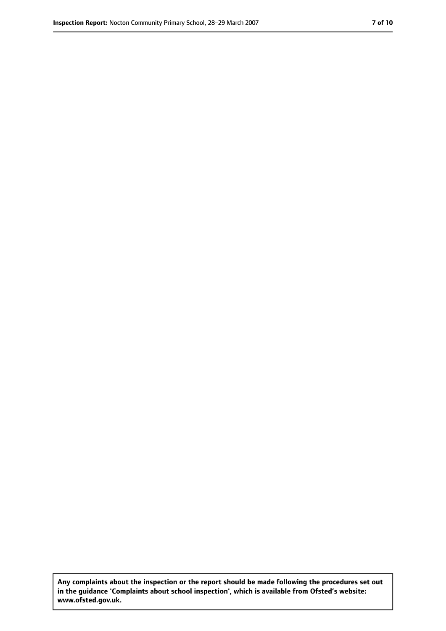**Any complaints about the inspection or the report should be made following the procedures set out in the guidance 'Complaints about school inspection', which is available from Ofsted's website: www.ofsted.gov.uk.**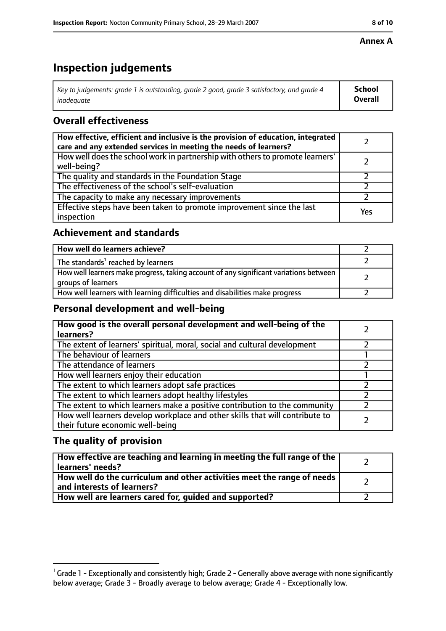#### **Annex A**

## **Inspection judgements**

| Key to judgements: grade 1 is outstanding, grade 2 good, grade 3 satisfactory, and grade 4 | <b>School</b>  |
|--------------------------------------------------------------------------------------------|----------------|
| inadequate                                                                                 | <b>Overall</b> |

## **Overall effectiveness**

| How effective, efficient and inclusive is the provision of education, integrated<br>care and any extended services in meeting the needs of learners? |     |
|------------------------------------------------------------------------------------------------------------------------------------------------------|-----|
| How well does the school work in partnership with others to promote learners'<br>well-being?                                                         |     |
| The quality and standards in the Foundation Stage                                                                                                    |     |
| The effectiveness of the school's self-evaluation                                                                                                    |     |
| The capacity to make any necessary improvements                                                                                                      |     |
| Effective steps have been taken to promote improvement since the last<br>inspection                                                                  | Yes |

## **Achievement and standards**

| How well do learners achieve?                                                                               |  |
|-------------------------------------------------------------------------------------------------------------|--|
| The standards <sup>1</sup> reached by learners                                                              |  |
| How well learners make progress, taking account of any significant variations between<br>groups of learners |  |
| How well learners with learning difficulties and disabilities make progress                                 |  |

## **Personal development and well-being**

| How good is the overall personal development and well-being of the<br>learners?                                  |  |
|------------------------------------------------------------------------------------------------------------------|--|
| The extent of learners' spiritual, moral, social and cultural development                                        |  |
| The behaviour of learners                                                                                        |  |
| The attendance of learners                                                                                       |  |
| How well learners enjoy their education                                                                          |  |
| The extent to which learners adopt safe practices                                                                |  |
| The extent to which learners adopt healthy lifestyles                                                            |  |
| The extent to which learners make a positive contribution to the community                                       |  |
| How well learners develop workplace and other skills that will contribute to<br>their future economic well-being |  |

## **The quality of provision**

| How effective are teaching and learning in meeting the full range of the<br>learners' needs?          |  |
|-------------------------------------------------------------------------------------------------------|--|
| How well do the curriculum and other activities meet the range of needs<br>and interests of learners? |  |
| How well are learners cared for, quided and supported?                                                |  |

 $^1$  Grade 1 - Exceptionally and consistently high; Grade 2 - Generally above average with none significantly below average; Grade 3 - Broadly average to below average; Grade 4 - Exceptionally low.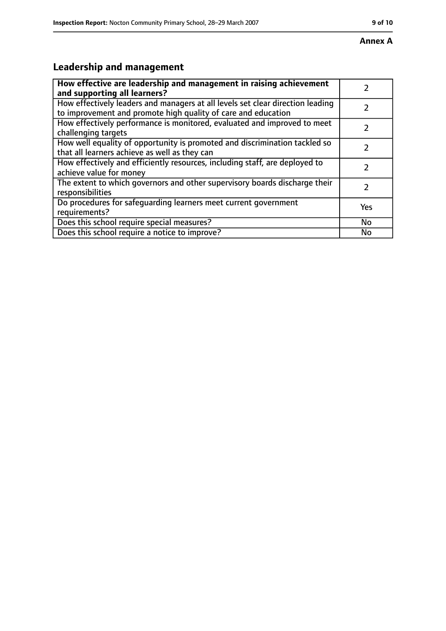# **Leadership and management**

| How effective are leadership and management in raising achievement<br>and supporting all learners?                                              |     |
|-------------------------------------------------------------------------------------------------------------------------------------------------|-----|
| How effectively leaders and managers at all levels set clear direction leading<br>to improvement and promote high quality of care and education |     |
| How effectively performance is monitored, evaluated and improved to meet<br>challenging targets                                                 |     |
| How well equality of opportunity is promoted and discrimination tackled so<br>that all learners achieve as well as they can                     |     |
| How effectively and efficiently resources, including staff, are deployed to<br>achieve value for money                                          | 7   |
| The extent to which governors and other supervisory boards discharge their<br>responsibilities                                                  | 7   |
| Do procedures for safequarding learners meet current government<br>requirements?                                                                | Yes |
| Does this school require special measures?                                                                                                      | No  |
| Does this school require a notice to improve?                                                                                                   | No  |